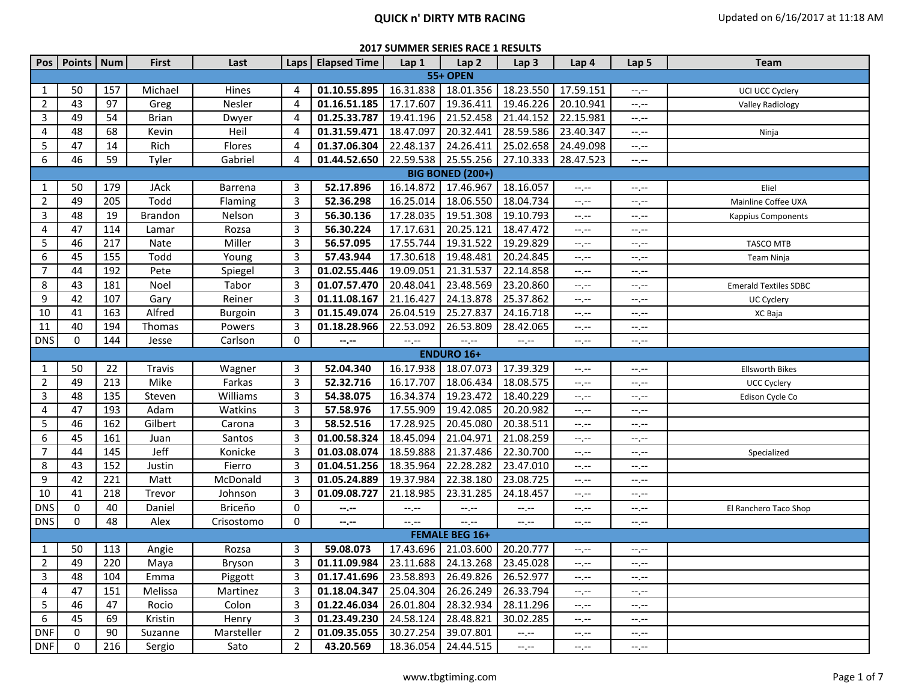|                | Pos   Points   Num |     | <b>First</b>   | Last       |                | Laps   Elapsed Time                              | Lap 1       | Lap <sub>2</sub>        | Lap <sub>3</sub> | Lap 4            | Lap 5            | <b>Team</b>                  |
|----------------|--------------------|-----|----------------|------------|----------------|--------------------------------------------------|-------------|-------------------------|------------------|------------------|------------------|------------------------------|
|                |                    |     |                |            |                |                                                  |             | <b>55+ OPEN</b>         |                  |                  |                  |                              |
| 1              | 50                 | 157 | Michael        | Hines      | 4              | 01.10.55.895                                     | 16.31.838   | 18.01.356               | 18.23.550        | 17.59.151        | $-1 - 1 - 1 = 0$ | UCI UCC Cyclery              |
| $\overline{2}$ | 43                 | 97  | Greg           | Nesler     | 4              | 01.16.51.185                                     | 17.17.607   | 19.36.411               | 19.46.226        | 20.10.941        | $-,-$            | Valley Radiology             |
| $\mathsf{3}$   | 49                 | 54  | <b>Brian</b>   | Dwyer      | 4              | 01.25.33.787                                     | 19.41.196   | 21.52.458               | 21.44.152        | 22.15.981        | $-1, -1$         |                              |
| 4              | 48                 | 68  | Kevin          | Heil       | 4              | 01.31.59.471                                     | 18.47.097   | 20.32.441               | 28.59.586        | 23.40.347        | $-1, -1$         | Ninja                        |
| 5              | 47                 | 14  | Rich           | Flores     | 4              | 01.37.06.304                                     | 22.48.137   | 24.26.411               | 25.02.658        | 24.49.098        | $-1 - 1 - 1 = 0$ |                              |
| 6              | 46                 | 59  | Tyler          | Gabriel    | 4              | 01.44.52.650                                     | 22.59.538   | 25.55.256               | 27.10.333        | 28.47.523        | $-1, -1$         |                              |
|                |                    |     |                |            |                |                                                  |             | <b>BIG BONED (200+)</b> |                  |                  |                  |                              |
| 1              | 50                 | 179 | <b>JAck</b>    | Barrena    | 3              | 52.17.896                                        | 16.14.872   | 17.46.967               | 18.16.057        | --,--            | $-1 - 1 - 1 = 0$ | Eliel                        |
| 2              | 49                 | 205 | Todd           | Flaming    | 3              | 52.36.298                                        | 16.25.014   | 18.06.550               | 18.04.734        | $-1$             | $-1 - 1 - 1 = 0$ | Mainline Coffee UXA          |
| 3              | 48                 | 19  | <b>Brandon</b> | Nelson     | 3              | 56.30.136                                        | 17.28.035   | 19.51.308               | 19.10.793        | $-1$ , $-1$      | $-1, -1$         | Kappius Components           |
| 4              | 47                 | 114 | Lamar          | Rozsa      | 3              | 56.30.224                                        | 17.17.631   | 20.25.121               | 18.47.472        | --.--            | $-1, -1$         |                              |
| 5              | 46                 | 217 | Nate           | Miller     | 3              | 56.57.095                                        | 17.55.744   | 19.31.522               | 19.29.829        | $-1$ , $-1$      | $-1, -1$         | TASCO MTB                    |
| 6              | 45                 | 155 | Todd           | Young      | 3              | 57.43.944                                        | 17.30.618   | 19.48.481               | 20.24.845        | --.--            | $--, --$         | Team Ninja                   |
| $\overline{7}$ | 44                 | 192 | Pete           | Spiegel    | 3              | 01.02.55.446                                     | 19.09.051   | 21.31.537               | 22.14.858        | --,--            | --.--            |                              |
| 8              | 43                 | 181 | Noel           | Tabor      | 3              | 01.07.57.470                                     | 20.48.041   | 23.48.569               | 23.20.860        | --.--            | --.--            | <b>Emerald Textiles SDBC</b> |
| 9              | 42                 | 107 | Gary           | Reiner     | 3              | 01.11.08.167                                     | 21.16.427   | 24.13.878               | 25.37.862        | $-1$ , $-1$      | $-1, -1$         | UC Cyclery                   |
| 10             | 41                 | 163 | Alfred         | Burgoin    | 3              | 01.15.49.074                                     | 26.04.519   | 25.27.837               | 24.16.718        | --.--            | $-1, -1$         | XC Baja                      |
| 11             | 40                 | 194 | Thomas         | Powers     | 3              | 01.18.28.966                                     | 22.53.092   | 26.53.809               | 28.42.065        | $-1, -1$         | $-1, -1$         |                              |
| <b>DNS</b>     | 0                  | 144 | Jesse          | Carlson    | $\mathbf 0$    | $-1, -1$                                         | $-1, -1$    | $-1, -1$                | $-1$ , $-1$      | $-1, -1$         | $-1, -1$         |                              |
|                |                    |     |                |            |                |                                                  |             | <b>ENDURO 16+</b>       |                  |                  |                  |                              |
| 1              | 50                 | 22  | Travis         | Wagner     | 3              | 52.04.340                                        | 16.17.938   | 18.07.073               | 17.39.329        | --.--            | $-1, -1$         | <b>Ellsworth Bikes</b>       |
| $\overline{2}$ | 49                 | 213 | Mike           | Farkas     | 3              | 52.32.716                                        | 16.17.707   | 18.06.434               | 18.08.575        | --,--            | --.--            | UCC Cyclery                  |
| 3              | 48                 | 135 | Steven         | Williams   | 3              | 54.38.075                                        | 16.34.374   | 19.23.472               | 18.40.229        | --.--            | $-1, -1$         | Edison Cycle Co              |
| 4              | 47                 | 193 | Adam           | Watkins    | 3              | 57.58.976                                        | 17.55.909   | 19.42.085               | 20.20.982        | --.--            | $-1, -1$         |                              |
| 5              | 46                 | 162 | Gilbert        | Carona     | 3              | 58.52.516                                        | 17.28.925   | 20.45.080               | 20.38.511        | --.--            | --.--            |                              |
| 6              | 45                 | 161 | Juan           | Santos     | 3              | 01.00.58.324                                     | 18.45.094   | 21.04.971               | 21.08.259        | --.--            | $-1, -1$         |                              |
| $\overline{7}$ | 44                 | 145 | Jeff           | Konicke    | 3              | 01.03.08.074                                     | 18.59.888   | 21.37.486               | 22.30.700        | --.--            | $-1, -1$         | Specialized                  |
| 8              | 43                 | 152 | Justin         | Fierro     | 3              | 01.04.51.256                                     | 18.35.964   | 22.28.282               | 23.47.010        | $-1, -1$         | $-1, -1$         |                              |
| 9              | 42                 | 221 | Matt           | McDonald   | 3              | 01.05.24.889                                     | 19.37.984   | 22.38.180               | 23.08.725        | $-1 - 1 - 1 = 0$ | $-1, -1$         |                              |
| 10             | 41                 | 218 | Trevor         | Johnson    | 3              | 01.09.08.727                                     | 21.18.985   | 23.31.285               | 24.18.457        | $-1 - 1 - 1 = 0$ | $-1, -1$         |                              |
| <b>DNS</b>     | 0                  | 40  | Daniel         | Briceño    | 0              | $-2 - 1$                                         | $-1, -1$    | $--, --$                | $-1, -1$         | $-1, -1$         | $-1, -1$         | El Ranchero Taco Shop        |
| <b>DNS</b>     | 0                  | 48  | Alex           | Crisostomo | 0              | $-1, -1$                                         | $-1$ , $-1$ | $-1$ , $-1$             | $--, --$         | $-1, -1$         | $-1, -1$         |                              |
|                |                    |     |                |            |                |                                                  |             | <b>FEMALE BEG 16+</b>   |                  |                  |                  |                              |
| 1              | 50                 | 113 | Angie          | Rozsa      | 3              | 59.08.073                                        |             | 17.43.696 21.03.600     | 20.20.777        | $-1, -1$         | $-1, -1$         |                              |
| $\overline{2}$ | 49                 | 220 | Maya           | Bryson     | $\overline{3}$ | 01.11.09.984 23.11.688 24.13.268 23.45.028       |             |                         |                  |                  |                  |                              |
| $\overline{3}$ | 48                 | 104 | Emma           | Piggott    | 3              | 01.17.41.696   23.58.893   26.49.826   26.52.977 |             |                         |                  | --.--            | $-1, -1$         |                              |
| 4              | 47                 | 151 | Melissa        | Martinez   | 3              | 01.18.04.347 25.04.304                           |             | 26.26.249 26.33.794     |                  | $-1, -1$         | $-1, -1$         |                              |
| 5              | 46                 | 47  | Rocio          | Colon      | 3              | $01.22.46.034$   26.01.804                       |             | 28.32.934 28.11.296     |                  | $-1, -1$         | $-1, -1$         |                              |
| 6              | 45                 | 69  | Kristin        | Henry      | $\mathbf{3}$   | 01.23.49.230 24.58.124                           |             | 28.48.821               | 30.02.285        | $-1, -1$         | $-1, -1$         |                              |
| <b>DNF</b>     | 0                  | 90  | Suzanne        | Marsteller | $\overline{2}$ | 01.09.35.055   30.27.254                         |             | 39.07.801               | $-1, -1$         | $-1, -1$         | $-1, -1$         |                              |
| <b>DNF</b>     | 0                  | 216 | Sergio         | Sato       | $2^{\circ}$    | 43.20.569                                        | 18.36.054   | 24.44.515               | $-1, -1$         | $-1, -1$         | $-1.11$          |                              |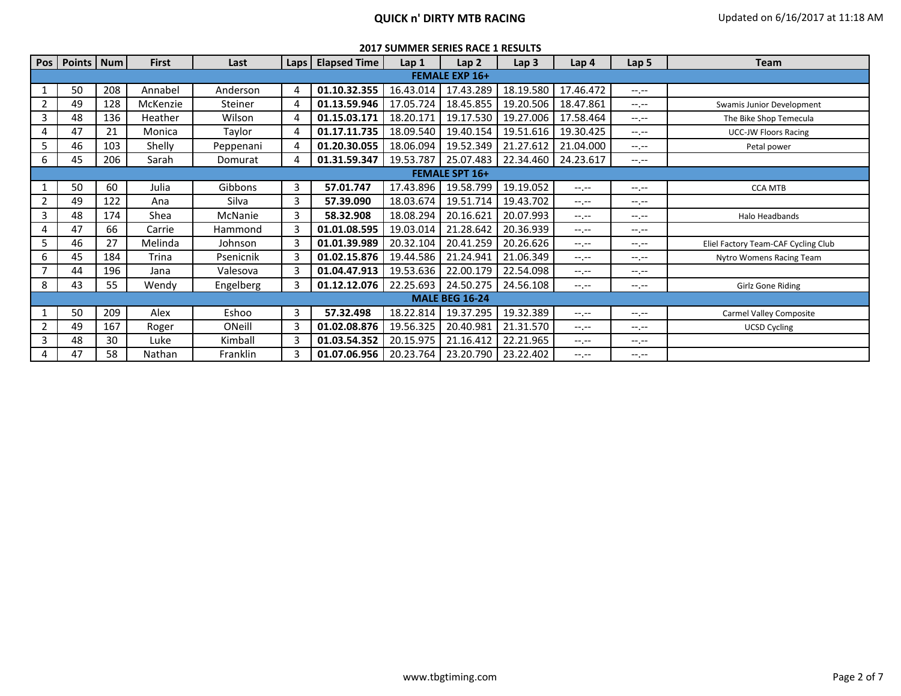| <b>2017 SUMMER SERIES RACE 1 RESULTS</b> |  |  |
|------------------------------------------|--|--|
|------------------------------------------|--|--|

|                | Pos   Points   Num    |     | <b>First</b> | Last      | Laps | <b>Elapsed Time</b> | Lap <sub>1</sub> | Lap <sub>2</sub>      | Lap <sub>3</sub> | Lap <sub>4</sub> | Lap 5            | <b>Team</b>                         |  |
|----------------|-----------------------|-----|--------------|-----------|------|---------------------|------------------|-----------------------|------------------|------------------|------------------|-------------------------------------|--|
|                | <b>FEMALE EXP 16+</b> |     |              |           |      |                     |                  |                       |                  |                  |                  |                                     |  |
|                | 50                    | 208 | Annabel      | Anderson  |      | 01.10.32.355        | 16.43.014        | 17.43.289             | 18.19.580        | 17.46.472        | $-1$ , $-1$      |                                     |  |
| $\overline{2}$ | 49                    | 128 | McKenzie     | Steiner   |      | 01.13.59.946        | 17.05.724        | 18.45.855             | 19.20.506        | 18.47.861        | $-1$ , $-1$      | Swamis Junior Development           |  |
| 3              | 48                    | 136 | Heather      | Wilson    |      | 01.15.03.171        | 18.20.171        | 19.17.530             | 19.27.006        | 17.58.464        | $-1 - 1 - 1 = 0$ | The Bike Shop Temecula              |  |
|                | 47                    | 21  | Monica       | Taylor    |      | 01.17.11.735        | 18.09.540        | 19.40.154             | 19.51.616        | 19.30.425        | $-1. -1$         | <b>UCC-JW Floors Racing</b>         |  |
| 5              | 46                    | 103 | Shelly       | Peppenani | 4    | 01.20.30.055        | 18.06.094        | 19.52.349             | 21.27.612        | 21.04.000        | $-1 - 1 - 1 = 0$ | Petal power                         |  |
| 6              | 45                    | 206 | Sarah        | Domurat   |      | 01.31.59.347        | 19.53.787        | 25.07.483             | 22.34.460        | 24.23.617        | $-1 - 1 - 1 = 0$ |                                     |  |
|                |                       |     |              |           |      |                     |                  | <b>FEMALE SPT 16+</b> |                  |                  |                  |                                     |  |
|                | 50                    | 60  | Julia        | Gibbons   | 3    | 57.01.747           | 17.43.896        | 19.58.799             | 19.19.052        | $-1 - 1 - 1 = 0$ | $-1. - -$        | <b>CCA MTB</b>                      |  |
| $\overline{2}$ | 49                    | 122 | Ana          | Silva     | 3    | 57.39.090           | 18.03.674        | 19.51.714             | 19.43.702        | $-1 - 1 - 1 = 0$ | $-1 - 1 - 1 = 0$ |                                     |  |
| 3              | 48                    | 174 | Shea         | McNanie   | 3    | 58.32.908           | 18.08.294        | 20.16.621             | 20.07.993        | $-1 - 1 - 1 = 0$ | $-1. -1$         | Halo Headbands                      |  |
| 4              | 47                    | 66  | Carrie       | Hammond   |      | 01.01.08.595        | 19.03.014        | 21.28.642             | 20.36.939        | $-1 - 1 - 1 = 0$ | $-1$ , $-1$      |                                     |  |
| 5              | 46                    | 27  | Melinda      | Johnson   |      | 01.01.39.989        | 20.32.104        | 20.41.259             | 20.26.626        | $-1$ , $-1$      | $-1 - 1 - 1 = 0$ | Eliel Factory Team-CAF Cycling Club |  |
| 6              | 45                    | 184 | Trina        | Psenicnik |      | 01.02.15.876        | 19.44.586        | 21.24.941             | 21.06.349        | $-1$ , $-1$      | $-1$ , $-1$      | Nytro Womens Racing Team            |  |
|                | 44                    | 196 | Jana         | Valesova  |      | 01.04.47.913        | 19.53.636        | 22.00.179             | 22.54.098        | $-1$ , $-1$      | $-1. - -$        |                                     |  |
| 8              | 43                    | 55  | Wendy        | Engelberg |      | 01.12.12.076        | 22.25.693        | 24.50.275             | 24.56.108        | $-1 - 1 - 1 = 0$ | $-1. - -$        | Girlz Gone Riding                   |  |
|                |                       |     |              |           |      |                     |                  | <b>MALE BEG 16-24</b> |                  |                  |                  |                                     |  |
|                | 50                    | 209 | Alex         | Eshoo     | 3    | 57.32.498           | 18.22.814        | 19.37.295             | 19.32.389        | $-1 - 1 - 1 = 0$ | $-1$ , $-1$      | Carmel Valley Composite             |  |
| $\overline{2}$ | 49                    | 167 | Roger        | ONeill    |      | 01.02.08.876        | 19.56.325        | 20.40.981             | 21.31.570        | $-1$ , $-1$      | $-1$ , $-1$      | <b>UCSD Cycling</b>                 |  |
| 3              | 48                    | 30  | Luke         | Kimball   |      | 01.03.54.352        | 20.15.975        | 21.16.412             | 22.21.965        | $-1 - 1 - 1 = 0$ | $-1$ , $-1$      |                                     |  |
| 4              | 47                    | 58  | Nathan       | Franklin  |      | 01.07.06.956        | 20.23.764        | 23.20.790             | 23.22.402        | $-1 - 1 - 1 = 0$ | $-1. - -$        |                                     |  |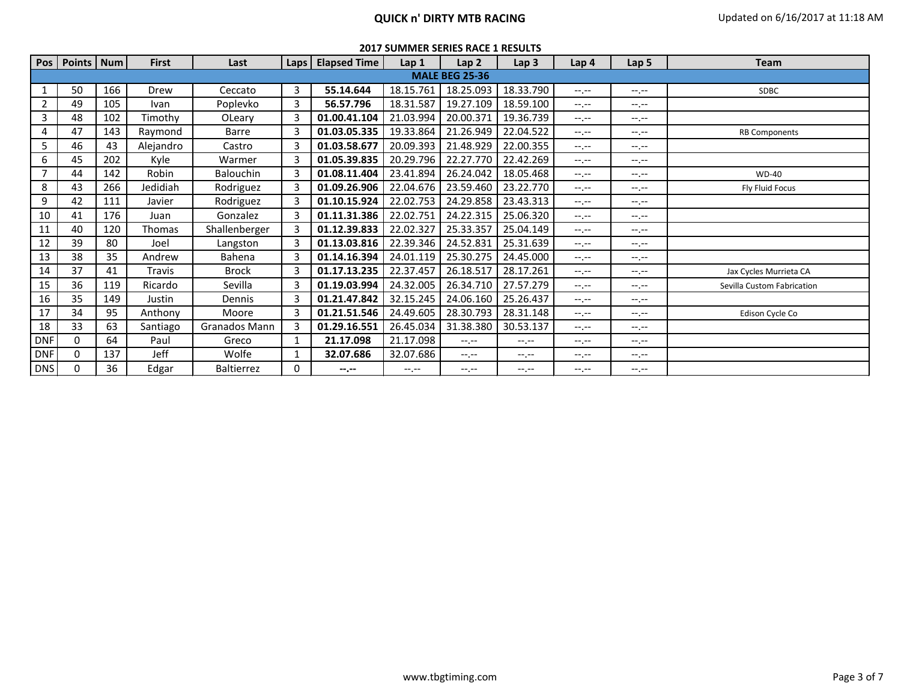# **QUICK n' DIRTY MTB RACING Updated on 6/16/2017 at 11:18 AM**

|            | Pos   Points   Num    |     | <b>First</b> | Last          | Laps | <b>Elapsed Time</b> | Lap <sub>1</sub> | Lap <sub>2</sub> | Lap <sub>3</sub> | Lap 4            | Lap 5            | <b>Team</b>                |  |  |
|------------|-----------------------|-----|--------------|---------------|------|---------------------|------------------|------------------|------------------|------------------|------------------|----------------------------|--|--|
|            | <b>MALE BEG 25-36</b> |     |              |               |      |                     |                  |                  |                  |                  |                  |                            |  |  |
|            | 50                    | 166 | Drew         | Ceccato       | 3    | 55.14.644           | 18.15.761        | 18.25.093        | 18.33.790        | $-1 - 1 - 1 = 0$ | $-1, -1$         | <b>SDBC</b>                |  |  |
| 2          | 49                    | 105 | Ivan         | Poplevko      | 3    | 56.57.796           | 18.31.587        | 19.27.109        | 18.59.100        | $-1 - 1 - 1 = 0$ | $-1, -1$         |                            |  |  |
| 3          | 48                    | 102 | Timothy      | OLeary        |      | 01.00.41.104        | 21.03.994        | 20.00.371        | 19.36.739        | $-1 - 1 - 1 = 0$ | $-1$ , $-1$      |                            |  |  |
| 4          | 47                    | 143 | Raymond      | Barre         |      | 01.03.05.335        | 19.33.864        | 21.26.949        | 22.04.522        | $-1 - 1 - 1 = 0$ | $-1$ , $-1$      | <b>RB Components</b>       |  |  |
| 5          | 46                    | 43  | Alejandro    | Castro        |      | 01.03.58.677        | 20.09.393        | 21.48.929        | 22.00.355        | $-1$ , $-1$      | $-1 - 1 - 1 = 0$ |                            |  |  |
| 6          | 45                    | 202 | Kyle         | Warmer        |      | 01.05.39.835        | 20.29.796        | 22.27.770        | 22.42.269        | $-1 - 1 - 1 = 0$ | $-1, -1$         |                            |  |  |
| 7          | 44                    | 142 | Robin        | Balouchin     |      | 01.08.11.404        | 23.41.894        | 26.24.042        | 18.05.468        | $-1$ , $-1$      | $-1. - -$        | <b>WD-40</b>               |  |  |
| 8          | 43                    | 266 | Jedidiah     | Rodriguez     |      | 01.09.26.906        | 22.04.676        | 23.59.460        | 23.22.770        | $-1 - 1 - 1 = 0$ | $-1$ , $-1$      | Fly Fluid Focus            |  |  |
| 9          | 42                    | 111 | Javier       | Rodriguez     |      | 01.10.15.924        | 22.02.753        | 24.29.858        | 23.43.313        | $-1 - 1 - 1 = 0$ | $-1 - 1 - 1 = 0$ |                            |  |  |
| 10         | 41                    | 176 | Juan         | Gonzalez      |      | 01.11.31.386        | 22.02.751        | 24.22.315        | 25.06.320        | $-1 - 1 - 1 = 0$ | $-1$ , $-1$      |                            |  |  |
| 11         | 40                    | 120 | Thomas       | Shallenberger |      | 01.12.39.833        | 22.02.327        | 25.33.357        | 25.04.149        | $-1 - 1 - 1 = 0$ | $-1$ , $-1$      |                            |  |  |
| 12         | 39                    | 80  | Joel         | Langston      |      | 01.13.03.816        | 22.39.346        | 24.52.831        | 25.31.639        | $-1$ , $-1$      | $-1$ , $-1$      |                            |  |  |
| 13         | 38                    | 35  | Andrew       | Bahena        |      | 01.14.16.394        | 24.01.119        | 25.30.275        | 24.45.000        | $-1 - 1 - 1 = 0$ | $-1$ , $-1$      |                            |  |  |
| 14         | 37                    | 41  | Travis       | <b>Brock</b>  |      | 01.17.13.235        | 22.37.457        | 26.18.517        | 28.17.261        | $-1 - 1 - 1 = 0$ | $-1, -1$         | Jax Cycles Murrieta CA     |  |  |
| 15         | 36                    | 119 | Ricardo      | Sevilla       |      | 01.19.03.994        | 24.32.005        | 26.34.710        | 27.57.279        | $-1 - 1 - 1 = 0$ | $-1$ , $-1$      | Sevilla Custom Fabrication |  |  |
| 16         | 35                    | 149 | Justin       | Dennis        |      | 01.21.47.842        | 32.15.245        | 24.06.160        | 25.26.437        | $-1$ , $-1$      | $-1. - -$        |                            |  |  |
| 17         | 34                    | 95  | Anthony      | Moore         |      | 01.21.51.546        | 24.49.605        | 28.30.793        | 28.31.148        | $-1$ , $-1$      | $-1$ , $-1$      | Edison Cycle Co            |  |  |
| 18         | 33                    | 63  | Santiago     | Granados Mann |      | 01.29.16.551        | 26.45.034        | 31.38.380        | 30.53.137        | $-1 - 1 - 1 = 0$ | $-1$ , $-1$      |                            |  |  |
| <b>DNF</b> | 0                     | 64  | Paul         | Greco         |      | 21.17.098           | 21.17.098        | $-1 - 1 - 1 = 0$ | $-1$ , $-1$      | $-1$ , $-1$      | $-1$ , $-1$      |                            |  |  |
| <b>DNF</b> | 0                     | 137 | Jeff         | Wolfe         |      | 32.07.686           | 32.07.686        | $-1$ , $-1$      | $-1.1 -$         | $-1, -1$         | $-1$ , $-1$      |                            |  |  |
| <b>DNS</b> | 0                     | 36  | Edgar        | Baltierrez    | 0    | $-2 - 2 - 1 = 0$    | $-1$ , $-1$      | $-1$ , $-1$      | $-1$ , $-1$      | $-1$ , $-1$      | $-1, -1$         |                            |  |  |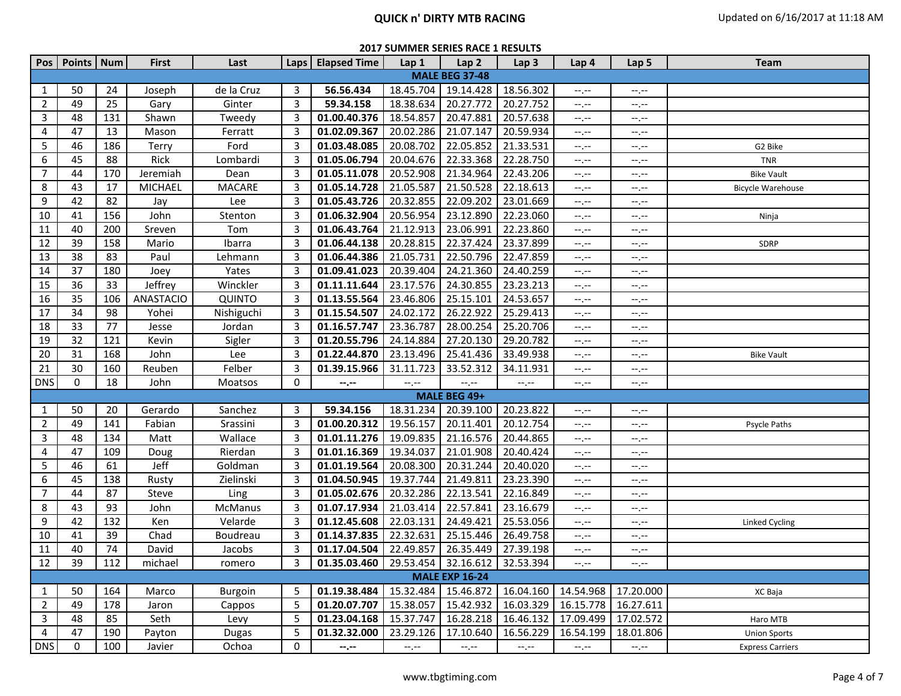# **QUICK n' DIRTY MTB RACING Updated on 6/16/2017 at 11:18 AM**

| Pos            | Points   Num |     | <b>First</b>     | Last          |                | Laps   Elapsed Time                              | Lap 1                       | Lap <sub>2</sub>            | Lap <sub>3</sub>            | Lap 4                             | Lap 5                                         | <b>Team</b>              |
|----------------|--------------|-----|------------------|---------------|----------------|--------------------------------------------------|-----------------------------|-----------------------------|-----------------------------|-----------------------------------|-----------------------------------------------|--------------------------|
|                |              |     |                  |               |                |                                                  |                             | <b>MALE BEG 37-48</b>       |                             |                                   |                                               |                          |
| 1              | 50           | 24  | Joseph           | de la Cruz    | 3              | 56.56.434                                        | 18.45.704                   | 19.14.428                   | 18.56.302                   | $-1, -1$                          | $-1, -1$                                      |                          |
| $\overline{2}$ | 49           | 25  | Gary             | Ginter        | 3              | 59.34.158                                        | 18.38.634                   | 20.27.772                   | 20.27.752                   | $-1, -1$                          | $-1, -1$                                      |                          |
| 3              | 48           | 131 | Shawn            | Tweedy        | 3              | 01.00.40.376                                     | 18.54.857                   | 20.47.881                   | 20.57.638                   | $-1, -1$                          | $-1, -1$                                      |                          |
| 4              | 47           | 13  | Mason            | Ferratt       | 3              | 01.02.09.367                                     | 20.02.286                   | 21.07.147                   | 20.59.934                   | $-1, -1$                          | $-1, -1$                                      |                          |
| 5              | 46           | 186 | Terry            | Ford          | 3              | 01.03.48.085                                     | 20.08.702                   | 22.05.852                   | 21.33.531                   | $-1, -1$                          | $-1, -1$                                      | G2 Bike                  |
| 6              | 45           | 88  | Rick             | Lombardi      | 3              | 01.05.06.794                                     | 20.04.676                   | 22.33.368                   | 22.28.750                   | $-1, -1$                          | $-1, -1$                                      | <b>TNR</b>               |
| $\overline{7}$ | 44           | 170 | Jeremiah         | Dean          | 3              | 01.05.11.078                                     | 20.52.908                   | 21.34.964                   | 22.43.206                   | $--, --$                          | $-1, -1$                                      | <b>Bike Vault</b>        |
| 8              | 43           | 17  | <b>MICHAEL</b>   | <b>MACARE</b> | 3              | 01.05.14.728                                     | 21.05.587                   | 21.50.528                   | 22.18.613                   | $--, --$                          | --.--                                         | <b>Bicycle Warehouse</b> |
| 9              | 42           | 82  | Jay              | Lee           | 3              | 01.05.43.726                                     | 20.32.855                   | 22.09.202                   | 23.01.669                   | $-1$                              | $-1, -1$                                      |                          |
| 10             | 41           | 156 | John             | Stenton       | 3              | 01.06.32.904                                     | 20.56.954                   | 23.12.890                   | 22.23.060                   | $-1, -1$                          | $-1, -1$                                      | Ninja                    |
| 11             | 40           | 200 | Sreven           | Tom           | 3              | 01.06.43.764                                     | 21.12.913                   | 23.06.991                   | 22.23.860                   | $-1, -1$                          | $-1, -1$                                      |                          |
| 12             | 39           | 158 | Mario            | Ibarra        | 3              | 01.06.44.138                                     | 20.28.815                   | 22.37.424                   | 23.37.899                   | $-1, -1$                          | $-1, -1$                                      | SDRP                     |
| 13             | 38           | 83  | Paul             | Lehmann       | 3              | 01.06.44.386                                     | 21.05.731                   | 22.50.796                   | 22.47.859                   | $-1, -1$                          | $-1, -1$                                      |                          |
| 14             | 37           | 180 | Joey             | Yates         | 3              | 01.09.41.023                                     | 20.39.404                   | 24.21.360                   | 24.40.259                   | $-1, -1$                          | $-1, -1$                                      |                          |
| 15             | 36           | 33  | Jeffrey          | Winckler      | 3              | 01.11.11.644                                     | 23.17.576                   | 24.30.855                   | 23.23.213                   | $-1$ , $-1$                       | $-1, -1$                                      |                          |
| 16             | 35           | 106 | <b>ANASTACIO</b> | QUINTO        | 3              | 01.13.55.564                                     | 23.46.806                   | 25.15.101                   | 24.53.657                   | $-1, -1$                          | $-1, -1$                                      |                          |
| 17             | 34           | 98  | Yohei            | Nishiguchi    | 3              | 01.15.54.507                                     | 24.02.172                   | 26.22.922                   | 25.29.413                   | $-1, -1$                          | --.--                                         |                          |
| 18             | 33           | 77  | Jesse            | Jordan        | 3              | 01.16.57.747                                     | 23.36.787                   | 28.00.254                   | 25.20.706                   | $-1, -1$                          | $-1, -1$                                      |                          |
| 19             | 32           | 121 | Kevin            | Sigler        | 3              | 01.20.55.796                                     | 24.14.884                   | 27.20.130                   | 29.20.782                   | $-1, -1$                          | $-1, -1$                                      |                          |
| 20             | 31           | 168 | John             | Lee           | 3              | 01.22.44.870                                     | 23.13.496                   | 25.41.436                   | 33.49.938                   | $-1$                              | $-1, -1$                                      | <b>Bike Vault</b>        |
| 21             | 30           | 160 | Reuben           | Felber        | 3              | 01.39.15.966                                     | 31.11.723                   | 33.52.312                   | 34.11.931                   | $-1, -1$                          | --.--                                         |                          |
| <b>DNS</b>     | $\mathbf 0$  | 18  | John             | Moatsos       | 0              | $-1, -1$                                         | $-1, -1$                    | $-1, -1$                    | $-1, -1$                    | $-1 - 1 - 1 = 0$                  | $\mathrel{\mathop:}=$ , $\mathrel{\mathop:}=$ |                          |
|                |              |     |                  |               |                |                                                  |                             | MALE BEG 49+                |                             |                                   |                                               |                          |
| 1              | 50           | 20  | Gerardo          | Sanchez       | 3              | 59.34.156                                        | 18.31.234                   | 20.39.100                   | 20.23.822                   | $-1, -1$                          | $-1, -1$                                      |                          |
| $\overline{2}$ | 49           | 141 | Fabian           | Srassini      | 3              | 01.00.20.312                                     | 19.56.157                   | 20.11.401                   | 20.12.754                   | $-1, -1$                          | $-1, -1$                                      | Psycle Paths             |
| 3              | 48           | 134 | Matt             | Wallace       | 3              | 01.01.11.276                                     | 19.09.835                   | 21.16.576                   | 20.44.865                   | $-1$                              | $--, --$                                      |                          |
| 4              | 47           | 109 | Doug             | Rierdan       | 3              | 01.01.16.369                                     | 19.34.037                   | 21.01.908                   | 20.40.424                   | $-1, -1$                          | $-1, -1$                                      |                          |
| 5              | 46           | 61  | Jeff             | Goldman       | 3              | 01.01.19.564                                     | 20.08.300                   | 20.31.244                   | 20.40.020                   | $-1, -1$                          | $-1, -1$                                      |                          |
| 6              | 45           | 138 | Rusty            | Zielinski     | 3              | 01.04.50.945                                     | 19.37.744                   | 21.49.811                   | 23.23.390                   | $-1, -1$                          | $-1 - 1 - 1 = 0$                              |                          |
| $\overline{7}$ | 44           | 87  | Steve            | Ling          | 3              | 01.05.02.676                                     | 20.32.286                   | 22.13.541                   | 22.16.849                   | $-1, -1$                          | $-1, -1$                                      |                          |
| 8              | 43           | 93  | John             | McManus       | 3              | 01.07.17.934                                     | 21.03.414                   | 22.57.841                   | 23.16.679                   | $-1, -1$                          | $-1, -1$                                      |                          |
| 9              | 42           | 132 | Ken              | Velarde       | 3              | 01.12.45.608                                     | 22.03.131                   | 24.49.421                   | 25.53.056                   | $-1, -1$                          | $-1, -1$                                      | Linked Cycling           |
| 10             | 41           | 39  | Chad             | Boudreau      | 3              | 01.14.37.835                                     | 22.32.631                   | 25.15.446                   | 26.49.758                   | $-1, -1$                          | --.--                                         |                          |
| 11             | 40           | 74  | David            | Jacobs        | 3              | 01.17.04.504                                     | 22.49.857                   | 26.35.449                   | 27.39.198                   | $-1, -1$                          | $-1, -1$                                      |                          |
| 12             | 39           | 112 | michael          | romero        | $\overline{3}$ | 01.35.03.460   29.53.454   32.16.612   32.53.394 |                             |                             |                             | --.--                             | $-1.77$                                       |                          |
|                |              |     |                  |               |                |                                                  |                             | <b>MALE EXP 16-24</b>       |                             |                                   |                                               |                          |
| 1              | 50           | 164 | Marco            | Burgoin       | 5              | 01.19.38.484                                     | 15.32.484                   | 15.46.872                   |                             | 16.04.160   14.54.968   17.20.000 |                                               | XC Baja                  |
| $\overline{2}$ | 49           | 178 | Jaron            | Cappos        | 5              | 01.20.07.707                                     | 15.38.057                   | 15.42.932                   | 16.03.329                   | 16.15.778 16.27.611               |                                               |                          |
| 3              | 48           | 85  | Seth             | Levy          | 5              | 01.23.04.168                                     | 15.37.747                   | 16.28.218                   | 16.46.132                   | 17.09.499                         | 17.02.572                                     | Haro MTB                 |
| 4              | 47           | 190 | Payton           | <b>Dugas</b>  | 5              | 01.32.32.000                                     | 23.29.126                   | 17.10.640                   | 16.56.229                   | 16.54.199                         | 18.01.806                                     | <b>Union Sports</b>      |
| <b>DNS</b>     | 0            | 100 | Javier           | Ochoa         | 0              | $-\text{-},\text{-}$                             | $\leftarrow$ , $\leftarrow$ | $\leftarrow$ , $\leftarrow$ | $\leftarrow$ , $\leftarrow$ | $-1$ , $-1$                       | $\leftarrow$ , $\leftarrow$                   | <b>Express Carriers</b>  |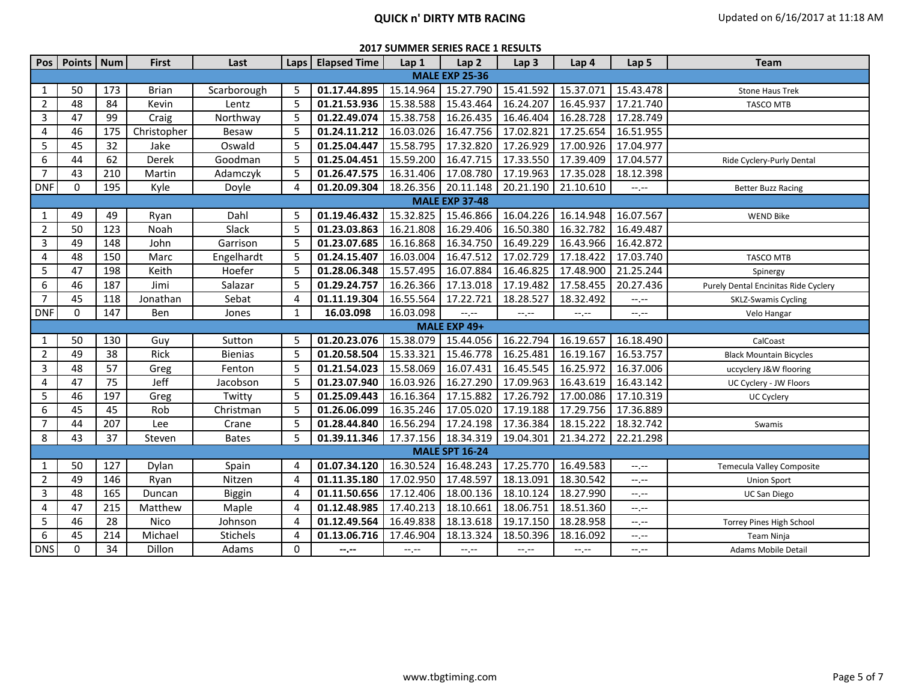| Pos            | Points   Num |     | <b>First</b> | Last            | Laps     | <b>Elapsed Time</b> | Lap 1       | Lap <sub>2</sub>      | Lap <sub>3</sub>            | Lap 4     | Lap 5     | Team                                 |
|----------------|--------------|-----|--------------|-----------------|----------|---------------------|-------------|-----------------------|-----------------------------|-----------|-----------|--------------------------------------|
|                |              |     |              |                 |          |                     |             | <b>MALE EXP 25-36</b> |                             |           |           |                                      |
| 1              | 50           | 173 | <b>Brian</b> | Scarborough     | 5        | 01.17.44.895        | 15.14.964   | 15.27.790             | 15.41.592                   | 15.37.071 | 15.43.478 | <b>Stone Haus Trek</b>               |
| 2              | 48           | 84  | Kevin        | Lentz           | 5        | 01.21.53.936        | 15.38.588   | 15.43.464             | 16.24.207                   | 16.45.937 | 17.21.740 | <b>TASCO MTB</b>                     |
| 3              | 47           | 99  | Craig        | Northway        | 5        | 01.22.49.074        | 15.38.758   | 16.26.435             | 16.46.404                   | 16.28.728 | 17.28.749 |                                      |
| 4              | 46           | 175 | Christopher  | <b>Besaw</b>    | 5        | 01.24.11.212        | 16.03.026   | 16.47.756             | 17.02.821                   | 17.25.654 | 16.51.955 |                                      |
| 5              | 45           | 32  | Jake         | Oswald          | 5        | 01.25.04.447        | 15.58.795   | 17.32.820             | 17.26.929                   | 17.00.926 | 17.04.977 |                                      |
| 6              | 44           | 62  | Derek        | Goodman         | 5        | 01.25.04.451        | 15.59.200   | 16.47.715             | 17.33.550                   | 17.39.409 | 17.04.577 | Ride Cyclery-Purly Dental            |
| $\overline{7}$ | 43           | 210 | Martin       | Adamczyk        | 5        | 01.26.47.575        | 16.31.406   | 17.08.780             | 17.19.963                   | 17.35.028 | 18.12.398 |                                      |
| <b>DNF</b>     | 0            | 195 | Kyle         | Doyle           | $\Delta$ | 01.20.09.304        | 18.26.356   | 20.11.148             | 20.21.190                   | 21.10.610 | $-1$      | <b>Better Buzz Racing</b>            |
|                |              |     |              |                 |          |                     |             | <b>MALE EXP 37-48</b> |                             |           |           |                                      |
| 1              | 49           | 49  | Ryan         | Dahl            | 5        | 01.19.46.432        | 15.32.825   | 15.46.866             | 16.04.226                   | 16.14.948 | 16.07.567 | <b>WEND Bike</b>                     |
| 2              | 50           | 123 | Noah         | Slack           | 5        | 01.23.03.863        | 16.21.808   | 16.29.406             | 16.50.380                   | 16.32.782 | 16.49.487 |                                      |
| 3              | 49           | 148 | John         | Garrison        | 5        | 01.23.07.685        | 16.16.868   | 16.34.750             | 16.49.229                   | 16.43.966 | 16.42.872 |                                      |
| 4              | 48           | 150 | Marc         | Engelhardt      | 5        | 01.24.15.407        | 16.03.004   | 16.47.512             | 17.02.729                   | 17.18.422 | 17.03.740 | <b>TASCO MTB</b>                     |
| 5              | 47           | 198 | Keith        | Hoefer          | 5        | 01.28.06.348        | 15.57.495   | 16.07.884             | 16.46.825                   | 17.48.900 | 21.25.244 | Spinergy                             |
| 6              | 46           | 187 | Jimi         | Salazar         | 5        | 01.29.24.757        | 16.26.366   | 17.13.018             | 17.19.482                   | 17.58.455 | 20.27.436 | Purely Dental Encinitas Ride Cyclery |
| $\overline{7}$ | 45           | 118 | Jonathan     | Sebat           | 4        | 01.11.19.304        | 16.55.564   | 17.22.721             | 18.28.527                   | 18.32.492 | $-1$      | <b>SKLZ-Swamis Cycling</b>           |
| <b>DNF</b>     | $\mathbf{0}$ | 147 | Ben          | Jones           | 1        | 16.03.098           | 16.03.098   | $--, --$              | --.--                       | --.--     | --.--     | Velo Hangar                          |
|                |              |     |              |                 |          |                     |             | MALE EXP 49+          |                             |           |           |                                      |
| 1              | 50           | 130 | Guy          | Sutton          | 5        | 01.20.23.076        | 15.38.079   | 15.44.056             | 16.22.794                   | 16.19.657 | 16.18.490 | CalCoast                             |
| 2              | 49           | 38  | Rick         | <b>Bienias</b>  | 5        | 01.20.58.504        | 15.33.321   | 15.46.778             | 16.25.481                   | 16.19.167 | 16.53.757 | <b>Black Mountain Bicycles</b>       |
| 3              | 48           | 57  | Greg         | Fenton          | 5        | 01.21.54.023        | 15.58.069   | 16.07.431             | 16.45.545                   | 16.25.972 | 16.37.006 | uccyclery J&W flooring               |
| 4              | 47           | 75  | Jeff         | Jacobson        | 5        | 01.23.07.940        | 16.03.926   | 16.27.290             | 17.09.963                   | 16.43.619 | 16.43.142 | UC Cyclery - JW Floors               |
| 5              | 46           | 197 | Greg         | Twitty          | 5        | 01.25.09.443        | 16.16.364   | 17.15.882             | 17.26.792                   | 17.00.086 | 17.10.319 | UC Cyclery                           |
| 6              | 45           | 45  | Rob          | Christman       | 5        | 01.26.06.099        | 16.35.246   | 17.05.020             | 17.19.188                   | 17.29.756 | 17.36.889 |                                      |
| $\overline{7}$ | 44           | 207 | Lee          | Crane           | 5        | 01.28.44.840        | 16.56.294   | 17.24.198             | 17.36.384                   | 18.15.222 | 18.32.742 | Swamis                               |
| 8              | 43           | 37  | Steven       | <b>Bates</b>    | 5        | 01.39.11.346        | 17.37.156   | 18.34.319             | 19.04.301                   | 21.34.272 | 22.21.298 |                                      |
|                |              |     |              |                 |          |                     |             | <b>MALE SPT 16-24</b> |                             |           |           |                                      |
| 1              | 50           | 127 | Dylan        | Spain           | Δ        | 01.07.34.120        | 16.30.524   | 16.48.243             | 17.25.770                   | 16.49.583 | $-1, -1$  | Temecula Valley Composite            |
| 2              | 49           | 146 | Ryan         | Nitzen          | 4        | 01.11.35.180        | 17.02.950   | 17.48.597             | 18.13.091                   | 18.30.542 | --.--     | <b>Union Sport</b>                   |
| 3              | 48           | 165 | Duncan       | Biggin          | 4        | 01.11.50.656        | 17.12.406   | 18.00.136             | 18.10.124                   | 18.27.990 | --.--     | <b>UC San Diego</b>                  |
| 4              | 47           | 215 | Matthew      | Maple           | 4        | 01.12.48.985        | 17.40.213   | 18.10.661             | 18.06.751                   | 18.51.360 | --.--     |                                      |
| 5              | 46           | 28  | Nico         | Johnson         | 4        | 01.12.49.564        | 16.49.838   | 18.13.618             | 19.17.150                   | 18.28.958 | $-1, -1$  | Torrey Pines High School             |
| 6              | 45           | 214 | Michael      | <b>Stichels</b> | 4        | 01.13.06.716        | 17.46.904   | 18.13.324             | 18.50.396                   | 18.16.092 | --.--     | Team Ninja                           |
| <b>DNS</b>     | 0            | 34  | Dillon       | Adams           | 0        | $-2 - 1$            | $-1$ . $-1$ | $--, --$              | $\leftarrow$ , $\leftarrow$ | $-1, -1$  | --.--     | <b>Adams Mobile Detail</b>           |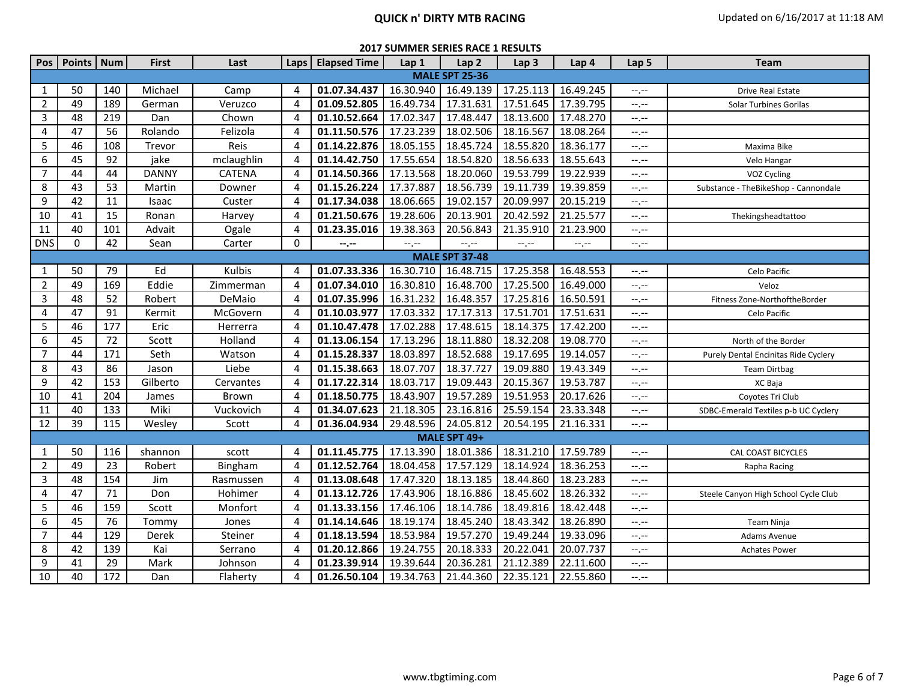# **QUICK n' DIRTY MTB RACING CONTACT ACTS** Updated on 6/16/2017 at 11:18 AM

| <b>2017 SUMMER SERIES RACE 1 RESULTS</b> |  |  |
|------------------------------------------|--|--|
|------------------------------------------|--|--|

| Pos            | Points   Num |     | <b>First</b> | Last          | Laps                  | <b>Elapsed Time</b> | Lap 1            | Lap <sub>2</sub>      | Lap <sub>3</sub> | Lap 4     | Lap 5            | <b>Team</b>                          |
|----------------|--------------|-----|--------------|---------------|-----------------------|---------------------|------------------|-----------------------|------------------|-----------|------------------|--------------------------------------|
|                |              |     |              |               |                       |                     |                  | <b>MALE SPT 25-36</b> |                  |           |                  |                                      |
| 1              | 50           | 140 | Michael      | Camp          | 4                     | 01.07.34.437        | 16.30.940        | 16.49.139             | 17.25.113        | 16.49.245 | $-1, -1$         | Drive Real Estate                    |
| $\overline{2}$ | 49           | 189 | German       | Veruzco       | $\boldsymbol{\Delta}$ | 01.09.52.805        | 16.49.734        | 17.31.631             | 17.51.645        | 17.39.795 | --.--            | Solar Turbines Gorilas               |
| 3              | 48           | 219 | Dan          | Chown         | $\overline{4}$        | 01.10.52.664        | 17.02.347        | 17.48.447             | 18.13.600        | 17.48.270 | $--, --$         |                                      |
| 4              | 47           | 56  | Rolando      | Felizola      | $\overline{4}$        | 01.11.50.576        | 17.23.239        | 18.02.506             | 18.16.567        | 18.08.264 | $-1, -1$         |                                      |
| 5              | 46           | 108 | Trevor       | Reis          | $\overline{4}$        | 01.14.22.876        | 18.05.155        | 18.45.724             | 18.55.820        | 18.36.177 | $-1, -1$         | Maxima Bike                          |
| 6              | 45           | 92  | jake         | mclaughlin    | $\overline{4}$        | 01.14.42.750        | 17.55.654        | 18.54.820             | 18.56.633        | 18.55.643 | $--, --$         | Velo Hangar                          |
| $\overline{7}$ | 44           | 44  | <b>DANNY</b> | <b>CATENA</b> | 4                     | 01.14.50.366        | 17.13.568        | 18.20.060             | 19.53.799        | 19.22.939 | $--, --$         | VOZ Cycling                          |
| 8              | 43           | 53  | Martin       | Downer        | 4                     | 01.15.26.224        | 17.37.887        | 18.56.739             | 19.11.739        | 19.39.859 | $-1, -1$         | Substance - TheBikeShop - Cannondale |
| 9              | 42           | 11  | Isaac        | Custer        | 4                     | 01.17.34.038        | 18.06.665        | 19.02.157             | 20.09.997        | 20.15.219 | $-1, -1$         |                                      |
| 10             | 41           | 15  | Ronan        | Harvey        | $\overline{4}$        | 01.21.50.676        | 19.28.606        | 20.13.901             | 20.42.592        | 21.25.577 | $-1$             | Thekingsheadtattoo                   |
| 11             | 40           | 101 | Advait       | Ogale         | 4                     | 01.23.35.016        | 19.38.363        | 20.56.843             | 21.35.910        | 21.23.900 | $-1, -1$         |                                      |
| <b>DNS</b>     | $\mathbf 0$  | 42  | Sean         | Carter        | 0                     | --.--               | $-1 - 1 - 1 = 0$ | $-1$                  | $--, --$         | --.--     | --.--            |                                      |
|                |              |     |              |               |                       |                     |                  | <b>MALE SPT 37-48</b> |                  |           |                  |                                      |
| 1              | 50           | 79  | Ed           | Kulbis        | 4                     | 01.07.33.336        | 16.30.710        | 16.48.715             | 17.25.358        | 16.48.553 | $-1$ .           | Celo Pacific                         |
| $\overline{2}$ | 49           | 169 | Eddie        | Zimmerman     | 4                     | 01.07.34.010        | 16.30.810        | 16.48.700             | 17.25.500        | 16.49.000 | $-1$ , $-1$      | Veloz                                |
| 3              | 48           | 52  | Robert       | DeMaio        | 4                     | 01.07.35.996        | 16.31.232        | 16.48.357             | 17.25.816        | 16.50.591 | $--, --$         | Fitness Zone-NorthoftheBorder        |
| 4              | 47           | 91  | Kermit       | McGovern      | 4                     | 01.10.03.977        | 17.03.332        | 17.17.313             | 17.51.701        | 17.51.631 | $-1, -1$         | Celo Pacific                         |
| 5              | 46           | 177 | Eric         | Herrerra      | 4                     | 01.10.47.478        | 17.02.288        | 17.48.615             | 18.14.375        | 17.42.200 | $-1, -1$         |                                      |
| 6              | 45           | 72  | Scott        | Holland       | 4                     | 01.13.06.154        | 17.13.296        | 18.11.880             | 18.32.208        | 19.08.770 | $-1, -1$         | North of the Border                  |
| 7              | 44           | 171 | Seth         | Watson        | 4                     | 01.15.28.337        | 18.03.897        | 18.52.688             | 19.17.695        | 19.14.057 | --,--            | Purely Dental Encinitas Ride Cyclery |
| 8              | 43           | 86  | Jason        | Liebe         | 4                     | 01.15.38.663        | 18.07.707        | 18.37.727             | 19.09.880        | 19.43.349 | $-1, -1$         | <b>Team Dirtbag</b>                  |
| $9\,$          | 42           | 153 | Gilberto     | Cervantes     | 4                     | 01.17.22.314        | 18.03.717        | 19.09.443             | 20.15.367        | 19.53.787 | $--, --$         | XC Baja                              |
| 10             | 41           | 204 | James        | Brown         | 4                     | 01.18.50.775        | 18.43.907        | 19.57.289             | 19.51.953        | 20.17.626 | $-1, -1$         | Covotes Tri Club                     |
| 11             | 40           | 133 | Miki         | Vuckovich     | 4                     | 01.34.07.623        | 21.18.305        | 23.16.816             | 25.59.154        | 23.33.348 | $--, --$         | SDBC-Emerald Textiles p-b UC Cyclery |
| 12             | 39           | 115 | Wesley       | Scott         | 4                     | 01.36.04.934        | 29.48.596        | 24.05.812             | 20.54.195        | 21.16.331 | $-1, -1$         |                                      |
|                |              |     |              |               |                       |                     |                  | MALE SPT 49+          |                  |           |                  |                                      |
| 1              | 50           | 116 | shannon      | scott         | 4                     | 01.11.45.775        | 17.13.390        | 18.01.386             | 18.31.210        | 17.59.789 | --,--            | CAL COAST BICYCLES                   |
| $\overline{2}$ | 49           | 23  | Robert       | Bingham       | 4                     | 01.12.52.764        | 18.04.458        | 17.57.129             | 18.14.924        | 18.36.253 | $-1 - 1 - 1 = 0$ | Rapha Racing                         |
| 3              | 48           | 154 | Jim          | Rasmussen     | 4                     | 01.13.08.648        | 17.47.320        | 18.13.185             | 18.44.860        | 18.23.283 | $-1, -1$         |                                      |
| 4              | 47           | 71  | Don          | Hohimer       | 4                     | 01.13.12.726        | 17.43.906        | 18.16.886             | 18.45.602        | 18.26.332 | $-1$ , $-1$      | Steele Canyon High School Cycle Club |
| 5              | 46           | 159 | Scott        | Monfort       | 4                     | 01.13.33.156        | 17.46.106        | 18.14.786             | 18.49.816        | 18.42.448 | $-1, -1$         |                                      |
| 6              | 45           | 76  | Tommy        | Jones         | $\overline{4}$        | 01.14.14.646        | 18.19.174        | 18.45.240             | 18.43.342        | 18.26.890 | $-1, -1$         | Team Ninja                           |
| $\overline{7}$ | 44           | 129 | Derek        | Steiner       | 4                     | 01.18.13.594        | 18.53.984        | 19.57.270             | 19.49.244        | 19.33.096 | $-1, -1$         | <b>Adams Avenue</b>                  |
| 8              | 42           | 139 | Kai          | Serrano       | 4                     | 01.20.12.866        | 19.24.755        | 20.18.333             | 20.22.041        | 20.07.737 | $-1, -1$         | <b>Achates Power</b>                 |
| 9              | 41           | 29  | Mark         | Johnson       | 4                     | 01.23.39.914        | 19.39.644        | 20.36.281             | 21.12.389        | 22.11.600 | --.--            |                                      |
| 10             | 40           | 172 | Dan          | Flaherty      | 4                     | 01.26.50.104        | 19.34.763        | 21.44.360             | 22.35.121        | 22.55.860 | $-1, -1$         |                                      |